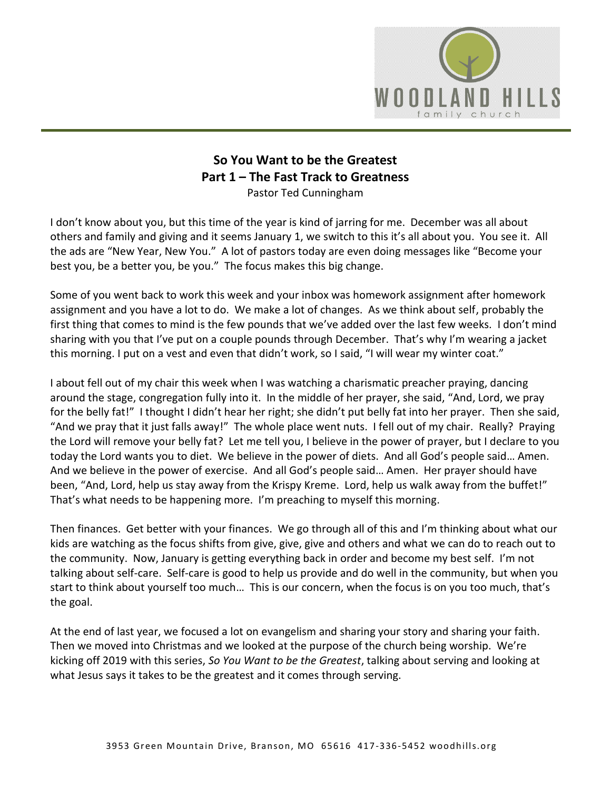

## **So You Want to be the Greatest Part 1 – The Fast Track to Greatness**  Pastor Ted Cunningham

I don't know about you, but this time of the year is kind of jarring for me. December was all about others and family and giving and it seems January 1, we switch to this it's all about you. You see it. All the ads are "New Year, New You." A lot of pastors today are even doing messages like "Become your best you, be a better you, be you." The focus makes this big change.

Some of you went back to work this week and your inbox was homework assignment after homework assignment and you have a lot to do. We make a lot of changes. As we think about self, probably the first thing that comes to mind is the few pounds that we've added over the last few weeks. I don't mind sharing with you that I've put on a couple pounds through December. That's why I'm wearing a jacket this morning. I put on a vest and even that didn't work, so I said, "I will wear my winter coat."

I about fell out of my chair this week when I was watching a charismatic preacher praying, dancing around the stage, congregation fully into it. In the middle of her prayer, she said, "And, Lord, we pray for the belly fat!" I thought I didn't hear her right; she didn't put belly fat into her prayer. Then she said, "And we pray that it just falls away!" The whole place went nuts. I fell out of my chair. Really? Praying the Lord will remove your belly fat? Let me tell you, I believe in the power of prayer, but I declare to you today the Lord wants you to diet. We believe in the power of diets. And all God's people said… Amen. And we believe in the power of exercise. And all God's people said… Amen. Her prayer should have been, "And, Lord, help us stay away from the Krispy Kreme. Lord, help us walk away from the buffet!" That's what needs to be happening more. I'm preaching to myself this morning.

Then finances. Get better with your finances. We go through all of this and I'm thinking about what our kids are watching as the focus shifts from give, give, give and others and what we can do to reach out to the community. Now, January is getting everything back in order and become my best self. I'm not talking about self-care. Self-care is good to help us provide and do well in the community, but when you start to think about yourself too much… This is our concern, when the focus is on you too much, that's the goal.

At the end of last year, we focused a lot on evangelism and sharing your story and sharing your faith. Then we moved into Christmas and we looked at the purpose of the church being worship. We're kicking off 2019 with this series, *So You Want to be the Greatest*, talking about serving and looking at what Jesus says it takes to be the greatest and it comes through serving.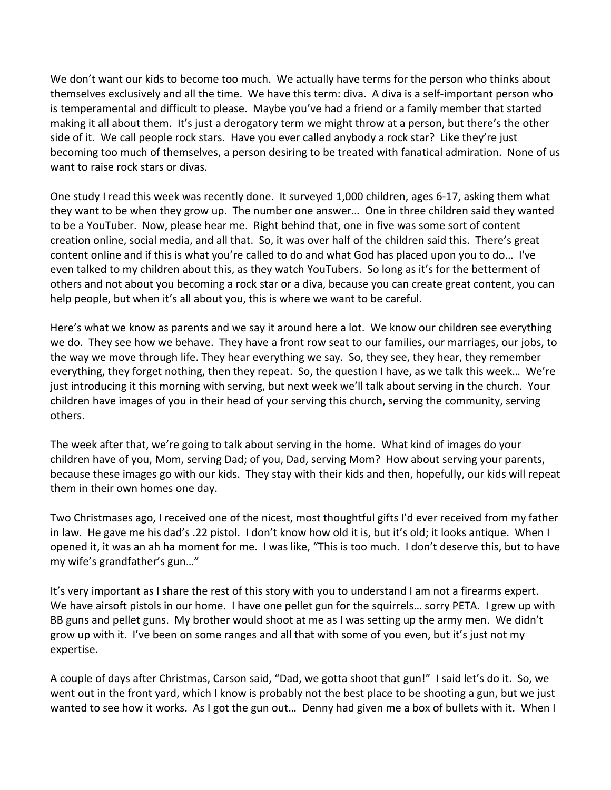We don't want our kids to become too much. We actually have terms for the person who thinks about themselves exclusively and all the time. We have this term: diva. A diva is a self-important person who is temperamental and difficult to please. Maybe you've had a friend or a family member that started making it all about them. It's just a derogatory term we might throw at a person, but there's the other side of it. We call people rock stars. Have you ever called anybody a rock star? Like they're just becoming too much of themselves, a person desiring to be treated with fanatical admiration. None of us want to raise rock stars or divas.

One study I read this week was recently done. It surveyed 1,000 children, ages 6-17, asking them what they want to be when they grow up. The number one answer… One in three children said they wanted to be a YouTuber. Now, please hear me. Right behind that, one in five was some sort of content creation online, social media, and all that. So, it was over half of the children said this. There's great content online and if this is what you're called to do and what God has placed upon you to do… I've even talked to my children about this, as they watch YouTubers. So long as it's for the betterment of others and not about you becoming a rock star or a diva, because you can create great content, you can help people, but when it's all about you, this is where we want to be careful.

Here's what we know as parents and we say it around here a lot. We know our children see everything we do. They see how we behave. They have a front row seat to our families, our marriages, our jobs, to the way we move through life. They hear everything we say. So, they see, they hear, they remember everything, they forget nothing, then they repeat. So, the question I have, as we talk this week… We're just introducing it this morning with serving, but next week we'll talk about serving in the church. Your children have images of you in their head of your serving this church, serving the community, serving others.

The week after that, we're going to talk about serving in the home. What kind of images do your children have of you, Mom, serving Dad; of you, Dad, serving Mom? How about serving your parents, because these images go with our kids. They stay with their kids and then, hopefully, our kids will repeat them in their own homes one day.

Two Christmases ago, I received one of the nicest, most thoughtful gifts I'd ever received from my father in law. He gave me his dad's .22 pistol. I don't know how old it is, but it's old; it looks antique. When I opened it, it was an ah ha moment for me. I was like, "This is too much. I don't deserve this, but to have my wife's grandfather's gun…"

It's very important as I share the rest of this story with you to understand I am not a firearms expert. We have airsoft pistols in our home. I have one pellet gun for the squirrels... sorry PETA. I grew up with BB guns and pellet guns. My brother would shoot at me as I was setting up the army men. We didn't grow up with it. I've been on some ranges and all that with some of you even, but it's just not my expertise.

A couple of days after Christmas, Carson said, "Dad, we gotta shoot that gun!" I said let's do it. So, we went out in the front yard, which I know is probably not the best place to be shooting a gun, but we just wanted to see how it works. As I got the gun out… Denny had given me a box of bullets with it. When I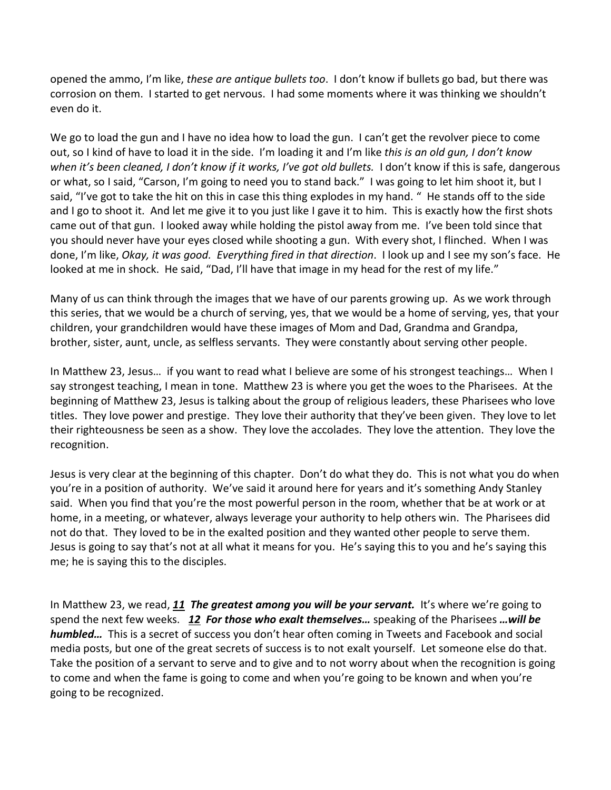opened the ammo, I'm like, *these are antique bullets too*. I don't know if bullets go bad, but there was corrosion on them. I started to get nervous. I had some moments where it was thinking we shouldn't even do it.

We go to load the gun and I have no idea how to load the gun. I can't get the revolver piece to come out, so I kind of have to load it in the side. I'm loading it and I'm like *this is an old gun, I don't know when it's been cleaned, I don't know if it works, I've got old bullets.* I don't know if this is safe, dangerous or what, so I said, "Carson, I'm going to need you to stand back." I was going to let him shoot it, but I said, "I've got to take the hit on this in case this thing explodes in my hand. " He stands off to the side and I go to shoot it. And let me give it to you just like I gave it to him. This is exactly how the first shots came out of that gun. I looked away while holding the pistol away from me. I've been told since that you should never have your eyes closed while shooting a gun. With every shot, I flinched. When I was done, I'm like, *Okay, it was good. Everything fired in that direction*. I look up and I see my son's face. He looked at me in shock. He said, "Dad, I'll have that image in my head for the rest of my life."

Many of us can think through the images that we have of our parents growing up. As we work through this series, that we would be a church of serving, yes, that we would be a home of serving, yes, that your children, your grandchildren would have these images of Mom and Dad, Grandma and Grandpa, brother, sister, aunt, uncle, as selfless servants. They were constantly about serving other people.

In Matthew 23, Jesus… if you want to read what I believe are some of his strongest teachings… When I say strongest teaching, I mean in tone. Matthew 23 is where you get the woes to the Pharisees. At the beginning of Matthew 23, Jesus is talking about the group of religious leaders, these Pharisees who love titles. They love power and prestige. They love their authority that they've been given. They love to let their righteousness be seen as a show. They love the accolades. They love the attention. They love the recognition.

Jesus is very clear at the beginning of this chapter. Don't do what they do. This is not what you do when you're in a position of authority. We've said it around here for years and it's something Andy Stanley said. When you find that you're the most powerful person in the room, whether that be at work or at home, in a meeting, or whatever, always leverage your authority to help others win. The Pharisees did not do that. They loved to be in the exalted position and they wanted other people to serve them. Jesus is going to say that's not at all what it means for you. He's saying this to you and he's saying this me; he is saying this to the disciples.

In Matthew 23, we read, *[11](https://www.studylight.org/desk/?q=mt%2023:11&t1=en_niv&sr=1) The greatest among you will be your servant.* It's where we're going to spend the next few weeks. *[12](https://www.studylight.org/desk/?q=mt%2023:12&t1=en_niv&sr=1) For those who exalt themselves…* speaking of the Pharisees *…will be humbled…* This is a secret of success you don't hear often coming in Tweets and Facebook and social media posts, but one of the great secrets of success is to not exalt yourself. Let someone else do that. Take the position of a servant to serve and to give and to not worry about when the recognition is going to come and when the fame is going to come and when you're going to be known and when you're going to be recognized.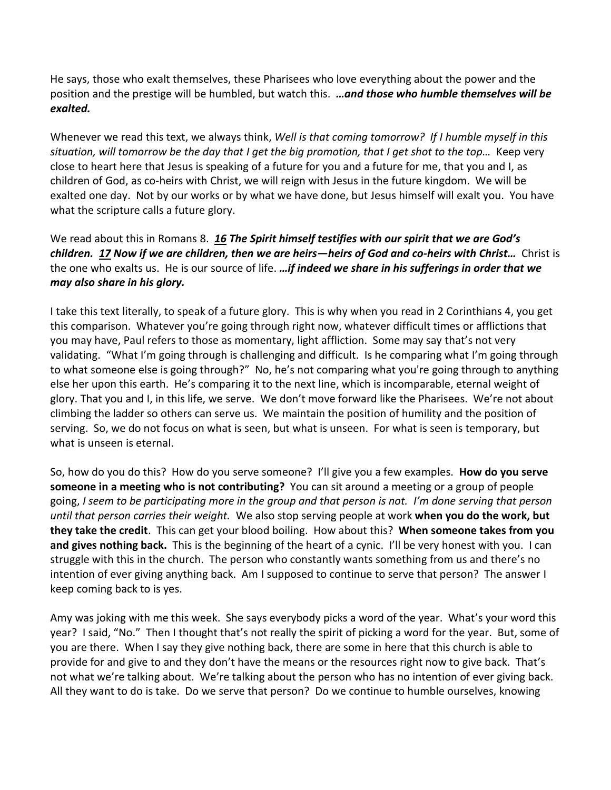He says, those who exalt themselves, these Pharisees who love everything about the power and the position and the prestige will be humbled, but watch this. *…and those who humble themselves will be exalted.*

Whenever we read this text, we always think, *Well is that coming tomorrow? If I humble myself in this situation, will tomorrow be the day that I get the big promotion, that I get shot to the top…* Keep very close to heart here that Jesus is speaking of a future for you and a future for me, that you and I, as children of God, as co-heirs with Christ, we will reign with Jesus in the future kingdom. We will be exalted one day. Not by our works or by what we have done, but Jesus himself will exalt you. You have what the scripture calls a future glory.

We read about this in Romans 8. *[16](https://www.studylight.org/desk/?q=ro%208:16&t1=en_niv&sr=1) The Spirit himself testifies with our spirit that we are God's children. [17](https://www.studylight.org/desk/?q=ro%208:17&t1=en_niv&sr=1) Now if we are children, then we are heirs—heirs of God and co-heirs with Christ…* Christ is the one who exalts us. He is our source of life. *…if indeed we share in his sufferings in order that we may also share in his glory.*

I take this text literally, to speak of a future glory. This is why when you read in 2 Corinthians 4, you get this comparison. Whatever you're going through right now, whatever difficult times or afflictions that you may have, Paul refers to those as momentary, light affliction. Some may say that's not very validating. "What I'm going through is challenging and difficult. Is he comparing what I'm going through to what someone else is going through?" No, he's not comparing what you're going through to anything else her upon this earth. He's comparing it to the next line, which is incomparable, eternal weight of glory. That you and I, in this life, we serve. We don't move forward like the Pharisees. We're not about climbing the ladder so others can serve us. We maintain the position of humility and the position of serving. So, we do not focus on what is seen, but what is unseen. For what is seen is temporary, but what is unseen is eternal.

So, how do you do this? How do you serve someone? I'll give you a few examples. **How do you serve someone in a meeting who is not contributing?** You can sit around a meeting or a group of people going, *I seem to be participating more in the group and that person is not. I'm done serving that person until that person carries their weight.* We also stop serving people at work **when you do the work, but they take the credit**. This can get your blood boiling. How about this? **When someone takes from you and gives nothing back.** This is the beginning of the heart of a cynic. I'll be very honest with you. I can struggle with this in the church. The person who constantly wants something from us and there's no intention of ever giving anything back. Am I supposed to continue to serve that person? The answer I keep coming back to is yes.

Amy was joking with me this week. She says everybody picks a word of the year. What's your word this year? I said, "No." Then I thought that's not really the spirit of picking a word for the year. But, some of you are there. When I say they give nothing back, there are some in here that this church is able to provide for and give to and they don't have the means or the resources right now to give back. That's not what we're talking about. We're talking about the person who has no intention of ever giving back. All they want to do is take. Do we serve that person? Do we continue to humble ourselves, knowing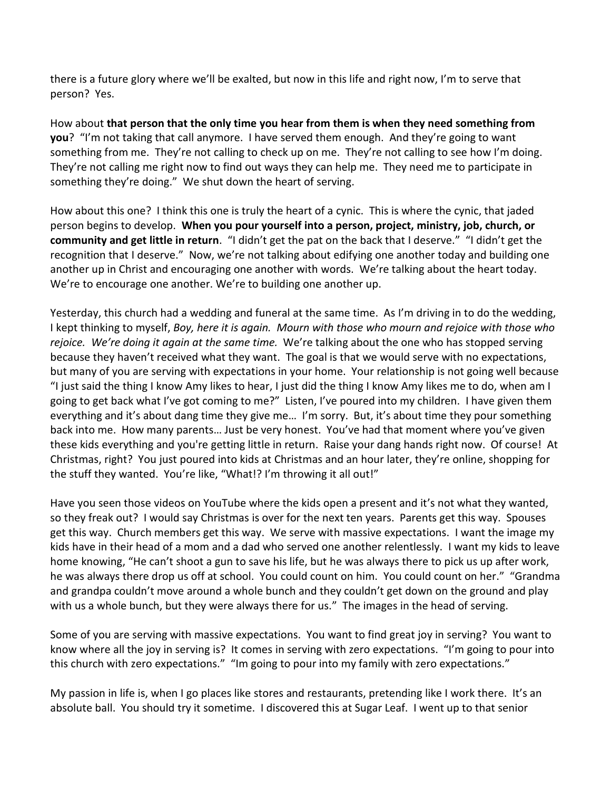there is a future glory where we'll be exalted, but now in this life and right now, I'm to serve that person? Yes.

How about **that person that the only time you hear from them is when they need something from you**? "I'm not taking that call anymore. I have served them enough. And they're going to want something from me. They're not calling to check up on me. They're not calling to see how I'm doing. They're not calling me right now to find out ways they can help me. They need me to participate in something they're doing." We shut down the heart of serving.

How about this one? I think this one is truly the heart of a cynic. This is where the cynic, that jaded person begins to develop. **When you pour yourself into a person, project, ministry, job, church, or community and get little in return**. "I didn't get the pat on the back that I deserve." "I didn't get the recognition that I deserve." Now, we're not talking about edifying one another today and building one another up in Christ and encouraging one another with words. We're talking about the heart today. We're to encourage one another. We're to building one another up.

Yesterday, this church had a wedding and funeral at the same time. As I'm driving in to do the wedding, I kept thinking to myself, *Boy, here it is again. Mourn with those who mourn and rejoice with those who rejoice. We're doing it again at the same time.* We're talking about the one who has stopped serving because they haven't received what they want. The goal is that we would serve with no expectations, but many of you are serving with expectations in your home. Your relationship is not going well because "I just said the thing I know Amy likes to hear, I just did the thing I know Amy likes me to do, when am I going to get back what I've got coming to me?" Listen, I've poured into my children. I have given them everything and it's about dang time they give me… I'm sorry. But, it's about time they pour something back into me. How many parents… Just be very honest. You've had that moment where you've given these kids everything and you're getting little in return. Raise your dang hands right now. Of course! At Christmas, right? You just poured into kids at Christmas and an hour later, they're online, shopping for the stuff they wanted. You're like, "What!? I'm throwing it all out!"

Have you seen those videos on YouTube where the kids open a present and it's not what they wanted, so they freak out? I would say Christmas is over for the next ten years. Parents get this way. Spouses get this way. Church members get this way. We serve with massive expectations. I want the image my kids have in their head of a mom and a dad who served one another relentlessly. I want my kids to leave home knowing, "He can't shoot a gun to save his life, but he was always there to pick us up after work, he was always there drop us off at school. You could count on him. You could count on her." "Grandma and grandpa couldn't move around a whole bunch and they couldn't get down on the ground and play with us a whole bunch, but they were always there for us." The images in the head of serving.

Some of you are serving with massive expectations. You want to find great joy in serving? You want to know where all the joy in serving is? It comes in serving with zero expectations. "I'm going to pour into this church with zero expectations." "Im going to pour into my family with zero expectations."

My passion in life is, when I go places like stores and restaurants, pretending like I work there. It's an absolute ball. You should try it sometime. I discovered this at Sugar Leaf. I went up to that senior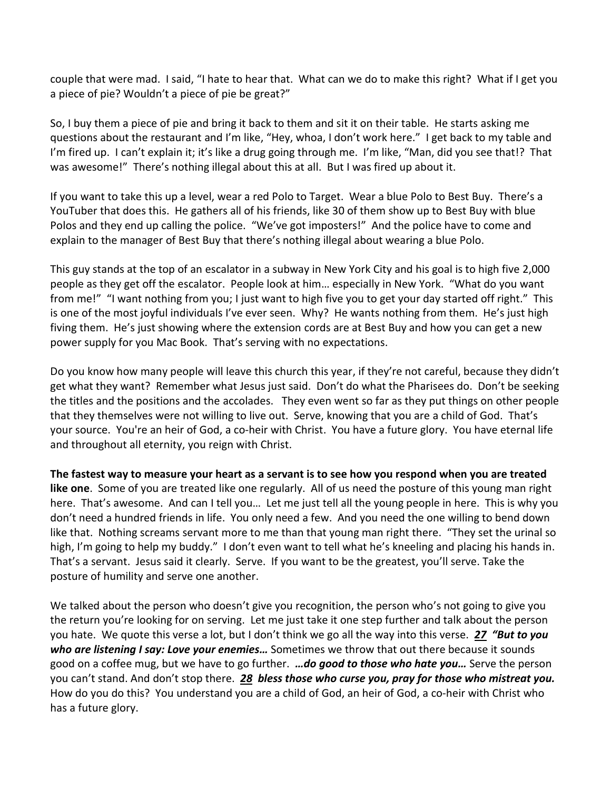couple that were mad. I said, "I hate to hear that. What can we do to make this right? What if I get you a piece of pie? Wouldn't a piece of pie be great?"

So, I buy them a piece of pie and bring it back to them and sit it on their table. He starts asking me questions about the restaurant and I'm like, "Hey, whoa, I don't work here." I get back to my table and I'm fired up. I can't explain it; it's like a drug going through me. I'm like, "Man, did you see that!? That was awesome!" There's nothing illegal about this at all. But I was fired up about it.

If you want to take this up a level, wear a red Polo to Target. Wear a blue Polo to Best Buy. There's a YouTuber that does this. He gathers all of his friends, like 30 of them show up to Best Buy with blue Polos and they end up calling the police. "We've got imposters!" And the police have to come and explain to the manager of Best Buy that there's nothing illegal about wearing a blue Polo.

This guy stands at the top of an escalator in a subway in New York City and his goal is to high five 2,000 people as they get off the escalator. People look at him… especially in New York. "What do you want from me!" "I want nothing from you; I just want to high five you to get your day started off right." This is one of the most joyful individuals I've ever seen. Why? He wants nothing from them. He's just high fiving them. He's just showing where the extension cords are at Best Buy and how you can get a new power supply for you Mac Book. That's serving with no expectations.

Do you know how many people will leave this church this year, if they're not careful, because they didn't get what they want? Remember what Jesus just said. Don't do what the Pharisees do. Don't be seeking the titles and the positions and the accolades. They even went so far as they put things on other people that they themselves were not willing to live out. Serve, knowing that you are a child of God. That's your source. You're an heir of God, a co-heir with Christ. You have a future glory. You have eternal life and throughout all eternity, you reign with Christ.

**The fastest way to measure your heart as a servant is to see how you respond when you are treated like one**. Some of you are treated like one regularly. All of us need the posture of this young man right here. That's awesome. And can I tell you… Let me just tell all the young people in here. This is why you don't need a hundred friends in life. You only need a few. And you need the one willing to bend down like that. Nothing screams servant more to me than that young man right there. "They set the urinal so high, I'm going to help my buddy." I don't even want to tell what he's kneeling and placing his hands in. That's a servant. Jesus said it clearly. Serve. If you want to be the greatest, you'll serve. Take the posture of humility and serve one another.

We talked about the person who doesn't give you recognition, the person who's not going to give you the return you're looking for on serving. Let me just take it one step further and talk about the person you hate. We quote this verse a lot, but I don't think we go all the way into this verse. *[27](https://www.studylight.org/desk/?q=lu%206:27&t1=en_niv&sr=1) "But to you who are listening I say: Love your enemies…* Sometimes we throw that out there because it sounds good on a coffee mug, but we have to go further. *…do good to those who hate you…* Serve the person you can't stand. And don't stop there. *[28](https://www.studylight.org/desk/?q=lu%206:28&t1=en_niv&sr=1) bless those who curse you, pray for those who mistreat you.* How do you do this? You understand you are a child of God, an heir of God, a co-heir with Christ who has a future glory.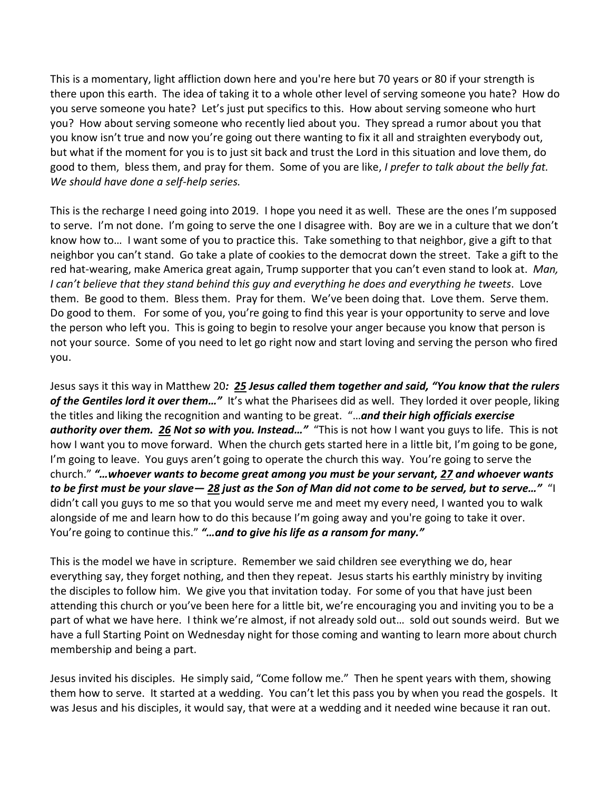This is a momentary, light affliction down here and you're here but 70 years or 80 if your strength is there upon this earth. The idea of taking it to a whole other level of serving someone you hate? How do you serve someone you hate? Let's just put specifics to this. How about serving someone who hurt you? How about serving someone who recently lied about you. They spread a rumor about you that you know isn't true and now you're going out there wanting to fix it all and straighten everybody out, but what if the moment for you is to just sit back and trust the Lord in this situation and love them, do good to them, bless them, and pray for them. Some of you are like, *I prefer to talk about the belly fat. We should have done a self-help series.* 

This is the recharge I need going into 2019. I hope you need it as well. These are the ones I'm supposed to serve. I'm not done. I'm going to serve the one I disagree with. Boy are we in a culture that we don't know how to… I want some of you to practice this. Take something to that neighbor, give a gift to that neighbor you can't stand. Go take a plate of cookies to the democrat down the street. Take a gift to the red hat-wearing, make America great again, Trump supporter that you can't even stand to look at. *Man, I can't believe that they stand behind this guy and everything he does and everything he tweets*. Love them. Be good to them. Bless them. Pray for them. We've been doing that. Love them. Serve them. Do good to them. For some of you, you're going to find this year is your opportunity to serve and love the person who left you. This is going to begin to resolve your anger because you know that person is not your source. Some of you need to let go right now and start loving and serving the person who fired you.

Jesus says it this way in Matthew 20*: [25](https://www.studylight.org/desk/?q=mt%2020:25&t1=en_niv&sr=1) Jesus called them together and said, "You know that the rulers of the Gentiles lord it over them…"* It's what the Pharisees did as well. They lorded it over people, liking the titles and liking the recognition and wanting to be great. "…*and their high officials exercise authority over them. [26](https://www.studylight.org/desk/?q=mt%2020:26&t1=en_niv&sr=1) Not so with you. Instead…"* "This is not how I want you guys to life. This is not how I want you to move forward. When the church gets started here in a little bit, I'm going to be gone, I'm going to leave. You guys aren't going to operate the church this way. You're going to serve the church." *"…whoever wants to become great among you must be your servant, [27](https://www.studylight.org/desk/?q=mt%2020:27&t1=en_niv&sr=1) and whoever wants to be first must be your slave— [28](https://www.studylight.org/desk/?q=mt%2020:28&t1=en_niv&sr=1) just as the Son of Man did not come to be served, but to serve…"* "I didn't call you guys to me so that you would serve me and meet my every need, I wanted you to walk alongside of me and learn how to do this because I'm going away and you're going to take it over. You're going to continue this." *"…and to give his life as a ransom for many."*

This is the model we have in scripture. Remember we said children see everything we do, hear everything say, they forget nothing, and then they repeat. Jesus starts his earthly ministry by inviting the disciples to follow him. We give you that invitation today. For some of you that have just been attending this church or you've been here for a little bit, we're encouraging you and inviting you to be a part of what we have here. I think we're almost, if not already sold out… sold out sounds weird. But we have a full Starting Point on Wednesday night for those coming and wanting to learn more about church membership and being a part.

Jesus invited his disciples. He simply said, "Come follow me." Then he spent years with them, showing them how to serve. It started at a wedding. You can't let this pass you by when you read the gospels. It was Jesus and his disciples, it would say, that were at a wedding and it needed wine because it ran out.